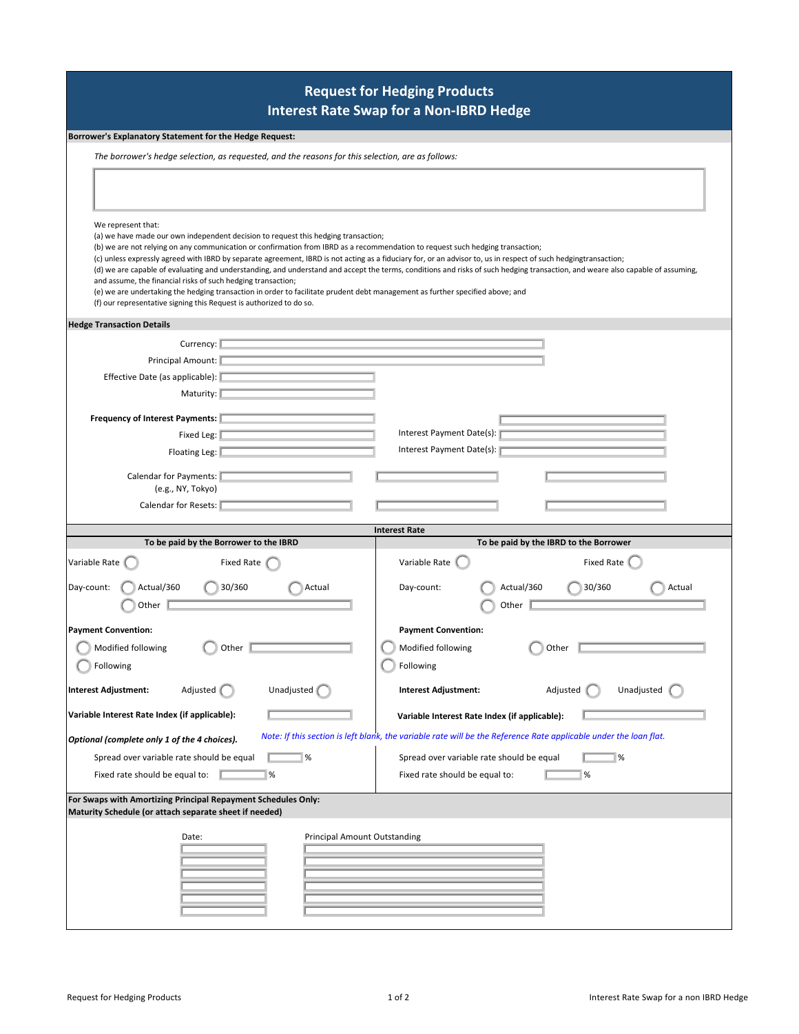## **Request for Hedging Products Interest Rate Swap for a Non-IBRD Hedge**

## **Borrower's Explanatory Statement for the Hedge Request:**

| The borrower's hedge selection, as requested, and the reasons for this selection, are as follows: |  |  |
|---------------------------------------------------------------------------------------------------|--|--|
|                                                                                                   |  |  |

| We represent that:<br>(a) we have made our own independent decision to request this hedging transaction;<br>(b) we are not relying on any communication or confirmation from IBRD as a recommendation to request such hedging transaction;<br>(c) unless expressly agreed with IBRD by separate agreement, IBRD is not acting as a fiduciary for, or an advisor to, us in respect of such hedgingtransaction;<br>and assume, the financial risks of such hedging transaction;<br>(e) we are undertaking the hedging transaction in order to facilitate prudent debt management as further specified above; and<br>(f) our representative signing this Request is authorized to do so. | (d) we are capable of evaluating and understanding, and understand and accept the terms, conditions and risks of such hedging transaction, and weare also capable of assuming, |
|---------------------------------------------------------------------------------------------------------------------------------------------------------------------------------------------------------------------------------------------------------------------------------------------------------------------------------------------------------------------------------------------------------------------------------------------------------------------------------------------------------------------------------------------------------------------------------------------------------------------------------------------------------------------------------------|--------------------------------------------------------------------------------------------------------------------------------------------------------------------------------|
| <b>Hedge Transaction Details</b>                                                                                                                                                                                                                                                                                                                                                                                                                                                                                                                                                                                                                                                      |                                                                                                                                                                                |
| Currency:                                                                                                                                                                                                                                                                                                                                                                                                                                                                                                                                                                                                                                                                             |                                                                                                                                                                                |
| Principal Amount:                                                                                                                                                                                                                                                                                                                                                                                                                                                                                                                                                                                                                                                                     |                                                                                                                                                                                |
| Effective Date (as applicable):                                                                                                                                                                                                                                                                                                                                                                                                                                                                                                                                                                                                                                                       |                                                                                                                                                                                |
| Maturity:                                                                                                                                                                                                                                                                                                                                                                                                                                                                                                                                                                                                                                                                             |                                                                                                                                                                                |
| <b>Frequency of Interest Payments:</b>                                                                                                                                                                                                                                                                                                                                                                                                                                                                                                                                                                                                                                                |                                                                                                                                                                                |
| Fixed Leg:                                                                                                                                                                                                                                                                                                                                                                                                                                                                                                                                                                                                                                                                            | Interest Payment Date(s):                                                                                                                                                      |
| Floating Leg:                                                                                                                                                                                                                                                                                                                                                                                                                                                                                                                                                                                                                                                                         | Interest Payment Date(s):                                                                                                                                                      |
|                                                                                                                                                                                                                                                                                                                                                                                                                                                                                                                                                                                                                                                                                       |                                                                                                                                                                                |
| <b>Calendar for Payments:</b>                                                                                                                                                                                                                                                                                                                                                                                                                                                                                                                                                                                                                                                         |                                                                                                                                                                                |
| (e.g., NY, Tokyo)                                                                                                                                                                                                                                                                                                                                                                                                                                                                                                                                                                                                                                                                     |                                                                                                                                                                                |
| Calendar for Resets:                                                                                                                                                                                                                                                                                                                                                                                                                                                                                                                                                                                                                                                                  |                                                                                                                                                                                |
|                                                                                                                                                                                                                                                                                                                                                                                                                                                                                                                                                                                                                                                                                       | <b>Interest Rate</b>                                                                                                                                                           |
| To be paid by the Borrower to the IBRD                                                                                                                                                                                                                                                                                                                                                                                                                                                                                                                                                                                                                                                | To be paid by the IBRD to the Borrower                                                                                                                                         |
|                                                                                                                                                                                                                                                                                                                                                                                                                                                                                                                                                                                                                                                                                       |                                                                                                                                                                                |
| Variable Rate<br><b>Fixed Rate</b>                                                                                                                                                                                                                                                                                                                                                                                                                                                                                                                                                                                                                                                    | Variable Rate<br>Fixed Rate                                                                                                                                                    |
| Actual/360<br>30/360<br>Actual<br>Day-count:<br>Other                                                                                                                                                                                                                                                                                                                                                                                                                                                                                                                                                                                                                                 | Actual/360<br>30/360<br>Actual<br>Day-count:<br>Other                                                                                                                          |
|                                                                                                                                                                                                                                                                                                                                                                                                                                                                                                                                                                                                                                                                                       |                                                                                                                                                                                |
| <b>Payment Convention:</b>                                                                                                                                                                                                                                                                                                                                                                                                                                                                                                                                                                                                                                                            | <b>Payment Convention:</b>                                                                                                                                                     |
| Modified following<br>Other                                                                                                                                                                                                                                                                                                                                                                                                                                                                                                                                                                                                                                                           | Modified following<br>Other                                                                                                                                                    |
| Following                                                                                                                                                                                                                                                                                                                                                                                                                                                                                                                                                                                                                                                                             | Following                                                                                                                                                                      |
| <b>Interest Adjustment:</b><br>Adjusted<br>Unadjusted                                                                                                                                                                                                                                                                                                                                                                                                                                                                                                                                                                                                                                 | <b>Interest Adjustment:</b><br>Unadjusted<br>Adjusted                                                                                                                          |
| Variable Interest Rate Index (if applicable):                                                                                                                                                                                                                                                                                                                                                                                                                                                                                                                                                                                                                                         | Variable Interest Rate Index (if applicable):                                                                                                                                  |
| Optional (complete only 1 of the 4 choices).                                                                                                                                                                                                                                                                                                                                                                                                                                                                                                                                                                                                                                          | Note: If this section is left blank, the variable rate will be the Reference Rate applicable under the loan flat.                                                              |
|                                                                                                                                                                                                                                                                                                                                                                                                                                                                                                                                                                                                                                                                                       |                                                                                                                                                                                |
| Spread over variable rate should be equal<br>%<br>Fixed rate should be equal to:<br>%                                                                                                                                                                                                                                                                                                                                                                                                                                                                                                                                                                                                 | Spread over variable rate should be equal<br>$\%$<br>Fixed rate should be equal to:<br>%                                                                                       |
|                                                                                                                                                                                                                                                                                                                                                                                                                                                                                                                                                                                                                                                                                       |                                                                                                                                                                                |
| Principal Amount Outstanding<br>Date:                                                                                                                                                                                                                                                                                                                                                                                                                                                                                                                                                                                                                                                 |                                                                                                                                                                                |
|                                                                                                                                                                                                                                                                                                                                                                                                                                                                                                                                                                                                                                                                                       |                                                                                                                                                                                |
| For Swaps with Amortizing Principal Repayment Schedules Only:<br>Maturity Schedule (or attach separate sheet if needed)                                                                                                                                                                                                                                                                                                                                                                                                                                                                                                                                                               |                                                                                                                                                                                |
|                                                                                                                                                                                                                                                                                                                                                                                                                                                                                                                                                                                                                                                                                       |                                                                                                                                                                                |